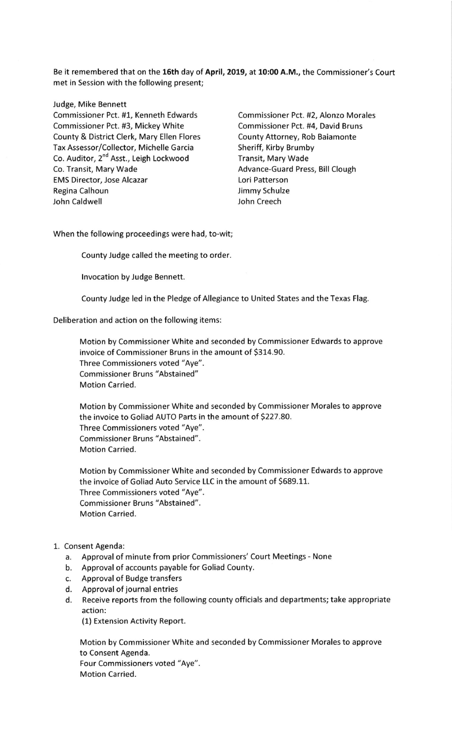Be it remembered that on the 16th day of April, 2019, at 10:00 A.M., the Commissioner's Court met in Session with the following present;

## Judge, Mike Bennett

Commissioner Pct. #1, Kenneth Edwards Commissioner Pct. #2, Alonzo Morales Commissioner Pct. #3, Mickey White Commissioner Pct. #4, David Bruns County & District Clerk, Mary Ellen Flores County Attorney, Rob Baiamonte Tax Assessor/Collector, Michelle Garcia Sheriff, Kirby Brumby Co. Auditor, 2<sup>nd</sup> Asst., Leigh Lockwood **Transit, Mary Wade**<br>Co. Transit, Mary Wade **The Co. Transit, Mary Wade** EMS Director, Jose Alcazar Lori Patterson Regina Calhoun and Call Communist Communist Communist Communist Communist Communist Communist Communist Communist Communist Communist Communist Communist Communist Communist Communist Communist Communist Communist Communis John Caldwell

Advance-Guard Press, Bill Clough

When the following proceedings were had, to-wit;

County Judge called the meeting to order.

lnvocation by Judge Bennett.

CountyJudge led in the Pledge of Allegiance to United States and the Texas Flag.

Deliberation and action on the following items:

Motion by Commissioner White and seconded by Commissioner Edwards to approve invoice of Commissioner Bruns in the amount of 5314.90. Three Commissioners voted "Aye". Commissioner Bruns "Abstained" Motion Carried.

Motion by Commissioner White and seconded by Commissioner Morales to approve the invoice to Goliad AUTO Parts in the amount of 5227.80. Three Commissioners voted "Aye". Commissioner Bruns "Abstained". Motion Carried.

Motion by Commissioner White and seconded by Commissioner Edwards to approve the invoice of Goliad Auto Service LLC in the amount of 5689.11. Three Commissioners voted "Aye". Commissioner Bruns "Abstained". Motion Carried.

## 1. Consent Agenda:

- a. Approval of minute from prior Commissioners'Court Meetings None
- b. Approval of accounts payable for Goliad County.
- c. Approval of Budge transfers
- d. Approval of journal entries
- d. Receive reports from the following county officials and departments; take appropriate action:

(1) Extension Activity Report.

Motion by Commissioner White and seconded by Commissioner Morales to approve to Consent Agenda. Four Commissioners voted "Aye". Motion Carried.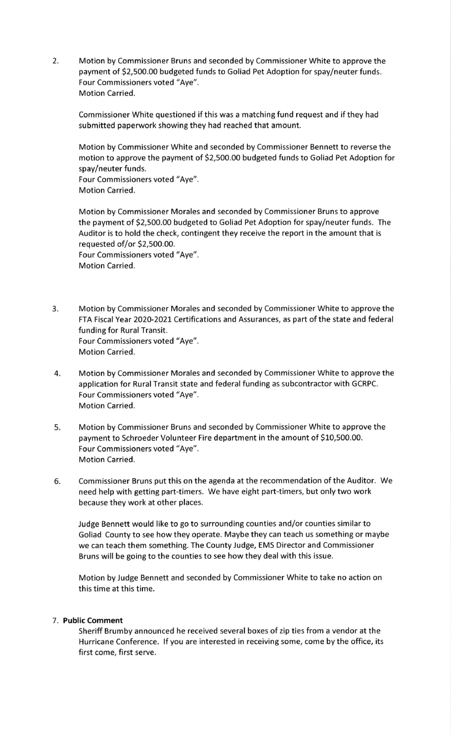2. Motion by Commissioner Bruns and seconded by Commissioner White to approve the payment of 52,500.00 budgeted funds to Goliad Pet Adoption for spay/neuter funds. Four Commissioners voted "Aye". Motion Carried.

Commissioner White questioned if this was a matching fund request and if they had submitted paperwork showing they had reached that amount.

Motion by Commissioner White and seconded by Commissioner Bennett to reverse the motion to approve the payment of 52,500.00 budgeted funds to Goliad Pet Adoption for spay/neuter funds. Four Commissioners voted "Aye".

Motion Carried.

Motion by Commissioner Morales and seconded by Commissioner Bruns to approve the payment of 52,500.00 budgeted to Goliad Pet Adoption for spay/neuter funds. The Auditor is to hold the check, contingent they receive the report in the amount that is requested of/or S2,500.00. Four Commissioners voted "Aye". Motion Carried.

- 3. Motion by Commissioner Morales and seconded by Commissioner White to approve the FTA Fiscal Year 2020-2021 Certifications and Assurances, as part of the state and federal funding for Rural Transit. Four Commissioners voted "Aye". Motion Carried.
- 4. Motion by Commissioner Morales and seconded by Commissioner White to approve the application for Rural Transit state and federal funding as subcontractor with GCRPC. Four Commissioners voted "Aye". Motion Carried.
- 5. Motion by Commissioner Bruns and seconded by Commissioner White to approve the payment to Schroeder Volunteer Fire department in the amount of \$10,500.00. Four Commissioners voted "Aye". Motion Carried.
- 6. Commissioner Bruns put this on the agenda at the recommendation of the Auditor. We need help with getting part-timers. We have eight part-timers, but only two work because they work at other places.

Judge Bennett would like to go to surrounding counties and/or counties similar to Goliad County to see how they operate. Maybe they can teach us something or maybe we can teach them something. The County Judge, EMS Director and Commissioner Bruns will be going to the counties to see how they deal with this issue.

Motion by Judge Bennett and seconded by Commissioner White to take no action on this time at this time.

## 7. Public Comment

Sheriff Brumby announced he received several boxes of zip ties from a vendor at the Hurricane Conference. If you are interested in receiving some, come by the office, its first come, first serve.